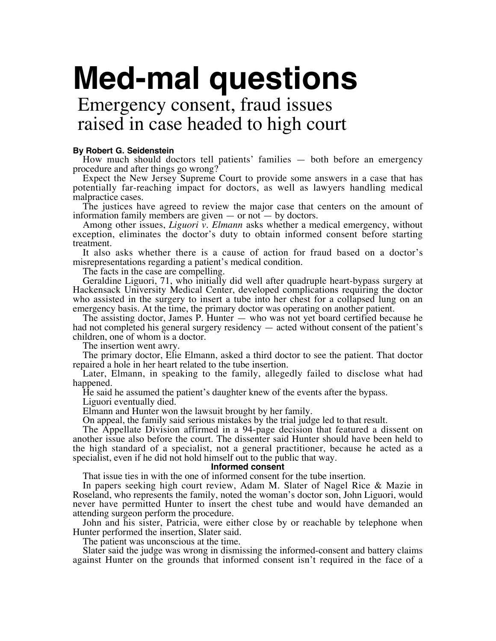## **Med-mal questions**

Emergency consent, fraud issues raised in case headed to high court

## **By Robert G. Seidenstein**

How much should doctors tell patients' families — both before an emergency procedure and after things go wrong?

Expect the New Jersey Supreme Court to provide some answers in a case that has potentially far-reaching impact for doctors, as well as lawyers handling medical malpractice cases.

The justices have agreed to review the major case that centers on the amount of information family members are given — or not — by doctors.

Among other issues, *Liguori v. Elmann* asks whether a medical emergency, without exception, eliminates the doctor's duty to obtain informed consent before starting treatment.

It also asks whether there is a cause of action for fraud based on a doctor's misrepresentations regarding a patient's medical condition.

The facts in the case are compelling.

Geraldine Liguori, 71, who initially did well after quadruple heart-bypass surgery at Hackensack University Medical Center, developed complications requiring the doctor who assisted in the surgery to insert a tube into her chest for a collapsed lung on an emergency basis. At the time, the primary doctor was operating on another patient.

The assisting doctor, James P. Hunter — who was not yet board certified because he had not completed his general surgery residency — acted without consent of the patient's children, one of whom is a doctor.

The insertion went awry.

The primary doctor, Elie Elmann, asked a third doctor to see the patient. That doctor repaired a hole in her heart related to the tube insertion.

Later, Elmann, in speaking to the family, allegedly failed to disclose what had happened.

He said he assumed the patient's daughter knew of the events after the bypass.

Liguori eventually died.

Elmann and Hunter won the lawsuit brought by her family.

On appeal, the family said serious mistakes by the trial judge led to that result.

The Appellate Division affirmed in a 94-page decision that featured a dissent on another issue also before the court. The dissenter said Hunter should have been held to the high standard of a specialist, not a general practitioner, because he acted as a specialist, even if he did not hold himself out to the public that way.

## **Informed consent**

That issue ties in with the one of informed consent for the tube insertion.

In papers seeking high court review, Adam M. Slater of Nagel Rice & Mazie in Roseland, who represents the family, noted the woman's doctor son, John Liguori, would never have permitted Hunter to insert the chest tube and would have demanded an attending surgeon perform the procedure.

John and his sister, Patricia, were either close by or reachable by telephone when Hunter performed the insertion, Slater said.

The patient was unconscious at the time.

Slater said the judge was wrong in dismissing the informed-consent and battery claims against Hunter on the grounds that informed consent isn't required in the face of a